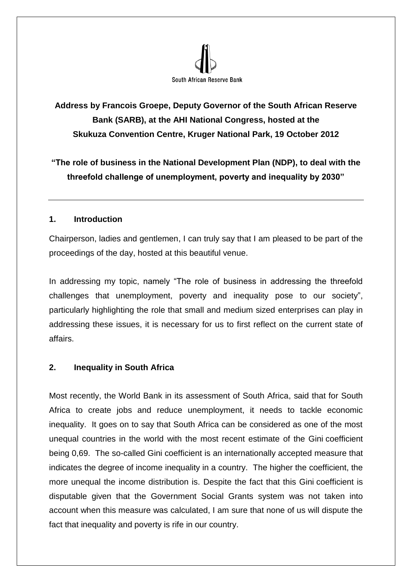

# **Address by Francois Groepe, Deputy Governor of the South African Reserve Bank (SARB), at the AHI National Congress, hosted at the Skukuza Convention Centre, Kruger National Park, 19 October 2012**

**"The role of business in the National Development Plan (NDP), to deal with the threefold challenge of unemployment, poverty and inequality by 2030"**

## **1. Introduction**

Chairperson, ladies and gentlemen, I can truly say that I am pleased to be part of the proceedings of the day, hosted at this beautiful venue.

In addressing my topic, namely "The role of business in addressing the threefold challenges that unemployment, poverty and inequality pose to our society", particularly highlighting the role that small and medium sized enterprises can play in addressing these issues, it is necessary for us to first reflect on the current state of affairs.

## **2. Inequality in South Africa**

Most recently, the World Bank in its assessment of South Africa, said that for South Africa to create jobs and reduce unemployment, it needs to tackle economic inequality. It goes on to say that South Africa can be considered as one of the most unequal countries in the world with the most recent estimate of the Gini coefficient being 0,69. The so-called Gini coefficient is an internationally accepted measure that indicates the degree of income inequality in a country. The higher the coefficient, the more unequal the income distribution is. Despite the fact that this Gini coefficient is disputable given that the Government Social Grants system was not taken into account when this measure was calculated, I am sure that none of us will dispute the fact that inequality and poverty is rife in our country.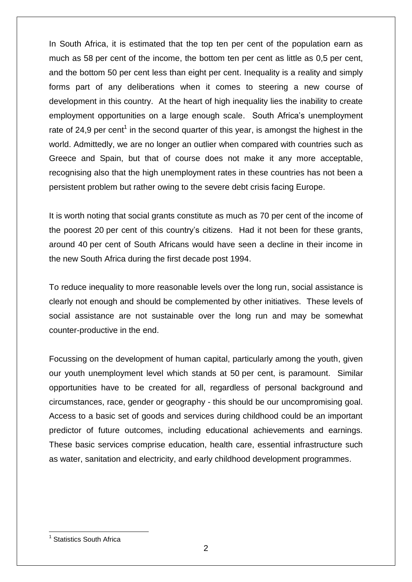In South Africa, it is estimated that the top ten per cent of the population earn as much as 58 per cent of the income, the bottom ten per cent as little as 0,5 per cent, and the bottom 50 per cent less than eight per cent. Inequality is a reality and simply forms part of any deliberations when it comes to steering a new course of development in this country. At the heart of high inequality lies the inability to create employment opportunities on a large enough scale. South Africa's unemployment rate of 24,9 per cent<sup>1</sup> in the second quarter of this year, is amongst the highest in the world. Admittedly, we are no longer an outlier when compared with countries such as Greece and Spain, but that of course does not make it any more acceptable, recognising also that the high unemployment rates in these countries has not been a persistent problem but rather owing to the severe debt crisis facing Europe.

It is worth noting that social grants constitute as much as 70 per cent of the income of the poorest 20 per cent of this country's citizens. Had it not been for these grants, around 40 per cent of South Africans would have seen a decline in their income in the new South Africa during the first decade post 1994.

To reduce inequality to more reasonable levels over the long run, social assistance is clearly not enough and should be complemented by other initiatives. These levels of social assistance are not sustainable over the long run and may be somewhat counter-productive in the end.

Focussing on the development of human capital, particularly among the youth, given our youth unemployment level which stands at 50 per cent, is paramount. Similar opportunities have to be created for all, regardless of personal background and circumstances, race, gender or geography - this should be our uncompromising goal. Access to a basic set of goods and services during childhood could be an important predictor of future outcomes, including educational achievements and earnings. These basic services comprise education, health care, essential infrastructure such as water, sanitation and electricity, and early childhood development programmes.

 $\overline{a}$ <sup>1</sup> Statistics South Africa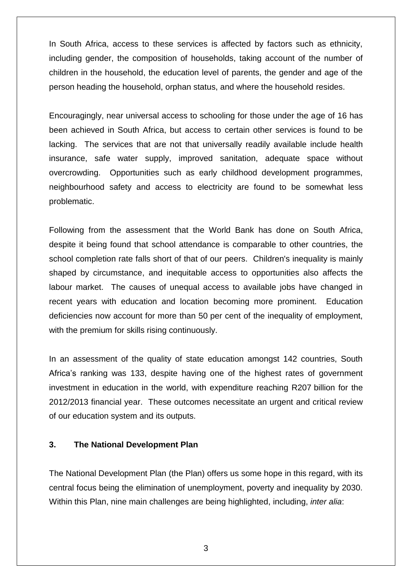In South Africa, access to these services is affected by factors such as ethnicity, including gender, the composition of households, taking account of the number of children in the household, the education level of parents, the gender and age of the person heading the household, orphan status, and where the household resides.

Encouragingly, near universal access to schooling for those under the age of 16 has been achieved in South Africa, but access to certain other services is found to be lacking. The services that are not that universally readily available include health insurance, safe water supply, improved sanitation, adequate space without overcrowding. Opportunities such as early childhood development programmes, neighbourhood safety and access to electricity are found to be somewhat less problematic.

Following from the assessment that the World Bank has done on South Africa, despite it being found that school attendance is comparable to other countries, the school completion rate falls short of that of our peers. Children's inequality is mainly shaped by circumstance, and inequitable access to opportunities also affects the labour market. The causes of unequal access to available jobs have changed in recent years with education and location becoming more prominent. Education deficiencies now account for more than 50 per cent of the inequality of employment, with the premium for skills rising continuously.

In an assessment of the quality of state education amongst 142 countries, South Africa's ranking was 133, despite having one of the highest rates of government investment in education in the world, with expenditure reaching R207 billion for the 2012/2013 financial year. These outcomes necessitate an urgent and critical review of our education system and its outputs.

#### **3. The National Development Plan**

The National Development Plan (the Plan) offers us some hope in this regard, with its central focus being the elimination of unemployment, poverty and inequality by 2030. Within this Plan, nine main challenges are being highlighted, including, *inter alia*: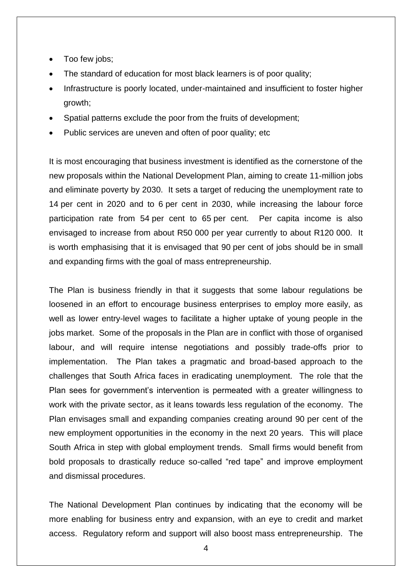- Too few jobs;
- The standard of education for most black learners is of poor quality;
- Infrastructure is poorly located, under-maintained and insufficient to foster higher growth;
- Spatial patterns exclude the poor from the fruits of development;
- Public services are uneven and often of poor quality; etc.

It is most encouraging that business investment is identified as the cornerstone of the new proposals within the National Development Plan, aiming to create 11-million jobs and eliminate poverty by 2030. It sets a target of reducing the unemployment rate to 14 per cent in 2020 and to 6 per cent in 2030, while increasing the labour force participation rate from 54 per cent to 65 per cent. Per capita income is also envisaged to increase from about R50 000 per year currently to about R120 000. It is worth emphasising that it is envisaged that 90 per cent of jobs should be in small and expanding firms with the goal of mass entrepreneurship.

The Plan is business friendly in that it suggests that some labour regulations be loosened in an effort to encourage business enterprises to employ more easily, as well as lower entry-level wages to facilitate a higher uptake of young people in the jobs market. Some of the proposals in the Plan are in conflict with those of organised labour, and will require intense negotiations and possibly trade-offs prior to implementation. The Plan takes a pragmatic and broad-based approach to the challenges that South Africa faces in eradicating unemployment. The role that the Plan sees for government's intervention is permeated with a greater willingness to work with the private sector, as it leans towards less regulation of the economy. The Plan envisages small and expanding companies creating around 90 per cent of the new employment opportunities in the economy in the next 20 years. This will place South Africa in step with global employment trends. Small firms would benefit from bold proposals to drastically reduce so-called "red tape" and improve employment and dismissal procedures.

The National Development Plan continues by indicating that the economy will be more enabling for business entry and expansion, with an eye to credit and market access. Regulatory reform and support will also boost mass entrepreneurship. The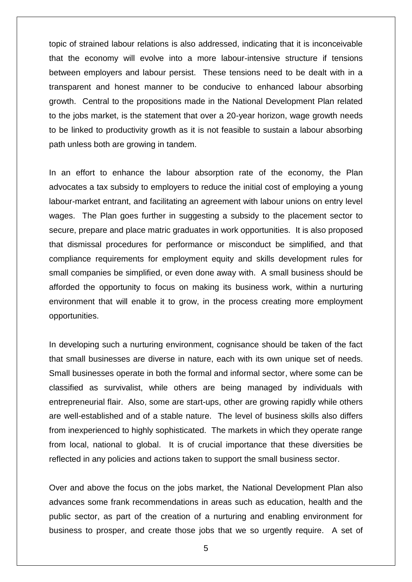topic of strained labour relations is also addressed, indicating that it is inconceivable that the economy will evolve into a more labour-intensive structure if tensions between employers and labour persist. These tensions need to be dealt with in a transparent and honest manner to be conducive to enhanced labour absorbing growth. Central to the propositions made in the National Development Plan related to the jobs market, is the statement that over a 20-year horizon, wage growth needs to be linked to productivity growth as it is not feasible to sustain a labour absorbing path unless both are growing in tandem.

In an effort to enhance the labour absorption rate of the economy, the Plan advocates a tax subsidy to employers to reduce the initial cost of employing a young labour-market entrant, and facilitating an agreement with labour unions on entry level wages. The Plan goes further in suggesting a subsidy to the placement sector to secure, prepare and place matric graduates in work opportunities. It is also proposed that dismissal procedures for performance or misconduct be simplified, and that compliance requirements for employment equity and skills development rules for small companies be simplified, or even done away with. A small business should be afforded the opportunity to focus on making its business work, within a nurturing environment that will enable it to grow, in the process creating more employment opportunities.

In developing such a nurturing environment, cognisance should be taken of the fact that small businesses are diverse in nature, each with its own unique set of needs. Small businesses operate in both the formal and informal sector, where some can be classified as survivalist, while others are being managed by individuals with entrepreneurial flair. Also, some are start-ups, other are growing rapidly while others are well-established and of a stable nature. The level of business skills also differs from inexperienced to highly sophisticated. The markets in which they operate range from local, national to global. It is of crucial importance that these diversities be reflected in any policies and actions taken to support the small business sector.

Over and above the focus on the jobs market, the National Development Plan also advances some frank recommendations in areas such as education, health and the public sector, as part of the creation of a nurturing and enabling environment for business to prosper, and create those jobs that we so urgently require. A set of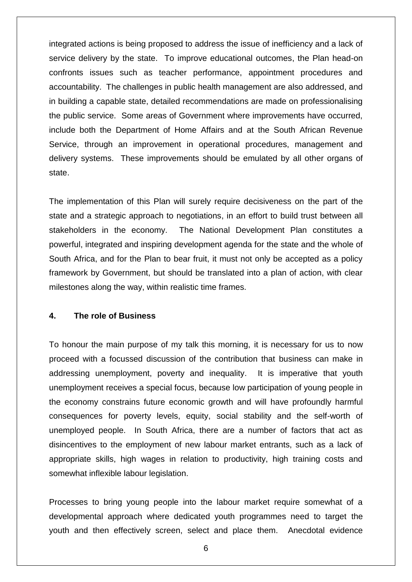integrated actions is being proposed to address the issue of inefficiency and a lack of service delivery by the state. To improve educational outcomes, the Plan head-on confronts issues such as teacher performance, appointment procedures and accountability. The challenges in public health management are also addressed, and in building a capable state, detailed recommendations are made on professionalising the public service. Some areas of Government where improvements have occurred, include both the Department of Home Affairs and at the South African Revenue Service, through an improvement in operational procedures, management and delivery systems. These improvements should be emulated by all other organs of state.

The implementation of this Plan will surely require decisiveness on the part of the state and a strategic approach to negotiations, in an effort to build trust between all stakeholders in the economy. The National Development Plan constitutes a powerful, integrated and inspiring development agenda for the state and the whole of South Africa, and for the Plan to bear fruit, it must not only be accepted as a policy framework by Government, but should be translated into a plan of action, with clear milestones along the way, within realistic time frames.

## **4. The role of Business**

To honour the main purpose of my talk this morning, it is necessary for us to now proceed with a focussed discussion of the contribution that business can make in addressing unemployment, poverty and inequality. It is imperative that youth unemployment receives a special focus, because low participation of young people in the economy constrains future economic growth and will have profoundly harmful consequences for poverty levels, equity, social stability and the self-worth of unemployed people. In South Africa, there are a number of factors that act as disincentives to the employment of new labour market entrants, such as a lack of appropriate skills, high wages in relation to productivity, high training costs and somewhat inflexible labour legislation.

Processes to bring young people into the labour market require somewhat of a developmental approach where dedicated youth programmes need to target the youth and then effectively screen, select and place them. Anecdotal evidence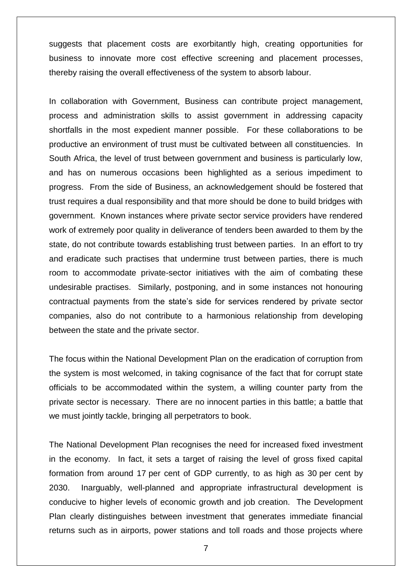suggests that placement costs are exorbitantly high, creating opportunities for business to innovate more cost effective screening and placement processes, thereby raising the overall effectiveness of the system to absorb labour.

In collaboration with Government, Business can contribute project management, process and administration skills to assist government in addressing capacity shortfalls in the most expedient manner possible. For these collaborations to be productive an environment of trust must be cultivated between all constituencies. In South Africa, the level of trust between government and business is particularly low, and has on numerous occasions been highlighted as a serious impediment to progress. From the side of Business, an acknowledgement should be fostered that trust requires a dual responsibility and that more should be done to build bridges with government. Known instances where private sector service providers have rendered work of extremely poor quality in deliverance of tenders been awarded to them by the state, do not contribute towards establishing trust between parties. In an effort to try and eradicate such practises that undermine trust between parties, there is much room to accommodate private-sector initiatives with the aim of combating these undesirable practises. Similarly, postponing, and in some instances not honouring contractual payments from the state's side for services rendered by private sector companies, also do not contribute to a harmonious relationship from developing between the state and the private sector.

The focus within the National Development Plan on the eradication of corruption from the system is most welcomed, in taking cognisance of the fact that for corrupt state officials to be accommodated within the system, a willing counter party from the private sector is necessary. There are no innocent parties in this battle; a battle that we must jointly tackle, bringing all perpetrators to book.

The National Development Plan recognises the need for increased fixed investment in the economy. In fact, it sets a target of raising the level of gross fixed capital formation from around 17 per cent of GDP currently, to as high as 30 per cent by 2030. Inarguably, well-planned and appropriate infrastructural development is conducive to higher levels of economic growth and job creation. The Development Plan clearly distinguishes between investment that generates immediate financial returns such as in airports, power stations and toll roads and those projects where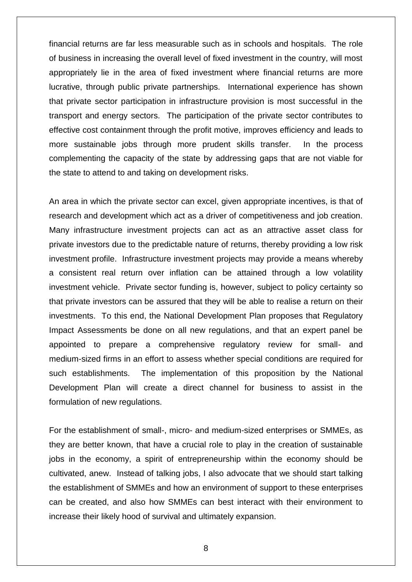financial returns are far less measurable such as in schools and hospitals. The role of business in increasing the overall level of fixed investment in the country, will most appropriately lie in the area of fixed investment where financial returns are more lucrative, through public private partnerships. International experience has shown that private sector participation in infrastructure provision is most successful in the transport and energy sectors. The participation of the private sector contributes to effective cost containment through the profit motive, improves efficiency and leads to more sustainable jobs through more prudent skills transfer. In the process complementing the capacity of the state by addressing gaps that are not viable for the state to attend to and taking on development risks.

An area in which the private sector can excel, given appropriate incentives, is that of research and development which act as a driver of competitiveness and job creation. Many infrastructure investment projects can act as an attractive asset class for private investors due to the predictable nature of returns, thereby providing a low risk investment profile. Infrastructure investment projects may provide a means whereby a consistent real return over inflation can be attained through a low volatility investment vehicle. Private sector funding is, however, subject to policy certainty so that private investors can be assured that they will be able to realise a return on their investments. To this end, the National Development Plan proposes that Regulatory Impact Assessments be done on all new regulations, and that an expert panel be appointed to prepare a comprehensive regulatory review for small- and medium-sized firms in an effort to assess whether special conditions are required for such establishments. The implementation of this proposition by the National Development Plan will create a direct channel for business to assist in the formulation of new regulations.

For the establishment of small-, micro- and medium-sized enterprises or SMMEs, as they are better known, that have a crucial role to play in the creation of sustainable jobs in the economy, a spirit of entrepreneurship within the economy should be cultivated, anew. Instead of talking jobs, I also advocate that we should start talking the establishment of SMMEs and how an environment of support to these enterprises can be created, and also how SMMEs can best interact with their environment to increase their likely hood of survival and ultimately expansion.

8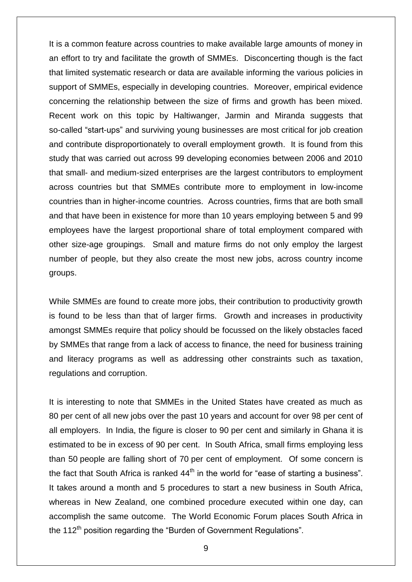It is a common feature across countries to make available large amounts of money in an effort to try and facilitate the growth of SMMEs. Disconcerting though is the fact that limited systematic research or data are available informing the various policies in support of SMMEs, especially in developing countries. Moreover, empirical evidence concerning the relationship between the size of firms and growth has been mixed. Recent work on this topic by Haltiwanger, Jarmin and Miranda suggests that so-called "start-ups" and surviving young businesses are most critical for job creation and contribute disproportionately to overall employment growth. It is found from this study that was carried out across 99 developing economies between 2006 and 2010 that small- and medium-sized enterprises are the largest contributors to employment across countries but that SMMEs contribute more to employment in low-income countries than in higher-income countries. Across countries, firms that are both small and that have been in existence for more than 10 years employing between 5 and 99 employees have the largest proportional share of total employment compared with other size-age groupings. Small and mature firms do not only employ the largest number of people, but they also create the most new jobs, across country income groups.

While SMMEs are found to create more jobs, their contribution to productivity growth is found to be less than that of larger firms. Growth and increases in productivity amongst SMMEs require that policy should be focussed on the likely obstacles faced by SMMEs that range from a lack of access to finance, the need for business training and literacy programs as well as addressing other constraints such as taxation, regulations and corruption.

It is interesting to note that SMMEs in the United States have created as much as 80 per cent of all new jobs over the past 10 years and account for over 98 per cent of all employers. In India, the figure is closer to 90 per cent and similarly in Ghana it is estimated to be in excess of 90 per cent. In South Africa, small firms employing less than 50 people are falling short of 70 per cent of employment. Of some concern is the fact that South Africa is ranked  $44<sup>th</sup>$  in the world for "ease of starting a business". It takes around a month and 5 procedures to start a new business in South Africa, whereas in New Zealand, one combined procedure executed within one day, can accomplish the same outcome. The World Economic Forum places South Africa in the 112<sup>th</sup> position regarding the "Burden of Government Regulations".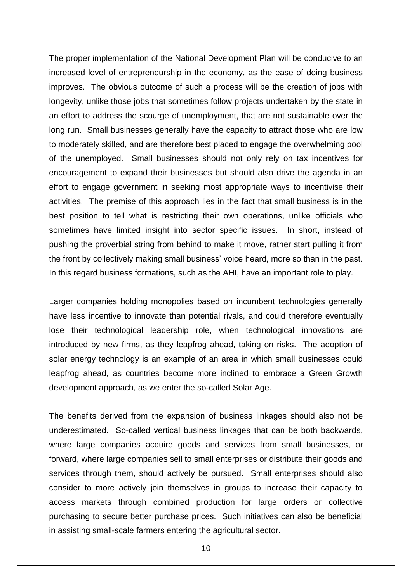The proper implementation of the National Development Plan will be conducive to an increased level of entrepreneurship in the economy, as the ease of doing business improves. The obvious outcome of such a process will be the creation of jobs with longevity, unlike those jobs that sometimes follow projects undertaken by the state in an effort to address the scourge of unemployment, that are not sustainable over the long run. Small businesses generally have the capacity to attract those who are low to moderately skilled, and are therefore best placed to engage the overwhelming pool of the unemployed. Small businesses should not only rely on tax incentives for encouragement to expand their businesses but should also drive the agenda in an effort to engage government in seeking most appropriate ways to incentivise their activities. The premise of this approach lies in the fact that small business is in the best position to tell what is restricting their own operations, unlike officials who sometimes have limited insight into sector specific issues. In short, instead of pushing the proverbial string from behind to make it move, rather start pulling it from the front by collectively making small business' voice heard, more so than in the past. In this regard business formations, such as the AHI, have an important role to play.

Larger companies holding monopolies based on incumbent technologies generally have less incentive to innovate than potential rivals, and could therefore eventually lose their technological leadership role, when technological innovations are introduced by new firms, as they leapfrog ahead, taking on risks. The adoption of solar energy technology is an example of an area in which small businesses could leapfrog ahead, as countries become more inclined to embrace a Green Growth development approach, as we enter the so-called Solar Age.

The benefits derived from the expansion of business linkages should also not be underestimated. So-called vertical business linkages that can be both backwards, where large companies acquire goods and services from small businesses, or forward, where large companies sell to small enterprises or distribute their goods and services through them, should actively be pursued. Small enterprises should also consider to more actively join themselves in groups to increase their capacity to access markets through combined production for large orders or collective purchasing to secure better purchase prices. Such initiatives can also be beneficial in assisting small-scale farmers entering the agricultural sector.